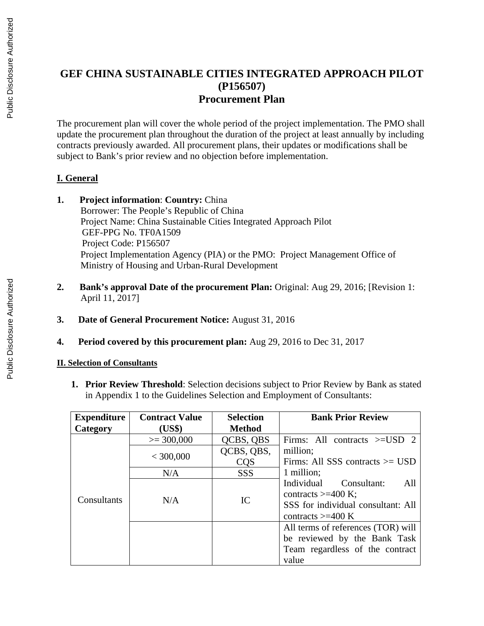## **GEF CHINA SUSTAINABLE CITIES INTEGRATED APPROACH PILOT (P156507) Procurement Plan**

The procurement plan will cover the whole period of the project implementation. The PMO shall update the procurement plan throughout the duration of the project at least annually by including contracts previously awarded. All procurement plans, their updates or modifications shall be subject to Bank's prior review and no objection before implementation.

## **I. General**

- **1. Project information**: **Country:** China Borrower: The People's Republic of China Project Name: China Sustainable Cities Integrated Approach Pilot GEF-PPG No. TF0A1509 Project Code: P156507 Project Implementation Agency (PIA) or the PMO: Project Management Office of Ministry of Housing and Urban-Rural Development
- **2. Bank's approval Date of the procurement Plan:** Original: Aug 29, 2016; [Revision 1: April 11, 2017]
- **3. Date of General Procurement Notice:** August 31, 2016
- **4. Period covered by this procurement plan:** Aug 29, 2016 to Dec 31, 2017

## **II. Selection of Consultants**

**1. Prior Review Threshold**: Selection decisions subject to Prior Review by Bank as stated in Appendix 1 to the Guidelines Selection and Employment of Consultants:

| Expenditure | <b>Contract Value</b> | <b>Selection</b> | <b>Bank Prior Review</b>           |
|-------------|-----------------------|------------------|------------------------------------|
| Category    | (US\$)                | Method           |                                    |
|             | $\ge$ = 300,000       | QCBS, QBS        | Firms: All contracts $>=$ USD 2    |
|             |                       | QCBS, QBS,       | million;                           |
|             | < 300,000             | CQS              | Firms: All SSS contracts $>=$ USD  |
|             | N/A                   | <b>SSS</b>       | 1 million;                         |
|             |                       |                  | Individual<br>Consultant:<br>All   |
| Consultants | N/A                   | IC               | contracts $>=$ 400 K;              |
|             |                       |                  | SSS for individual consultant: All |
|             |                       |                  | contracts $>=$ 400 K               |
|             |                       |                  | All terms of references (TOR) will |
|             |                       |                  | be reviewed by the Bank Task       |
|             |                       |                  | Team regardless of the contract    |
|             |                       |                  | value                              |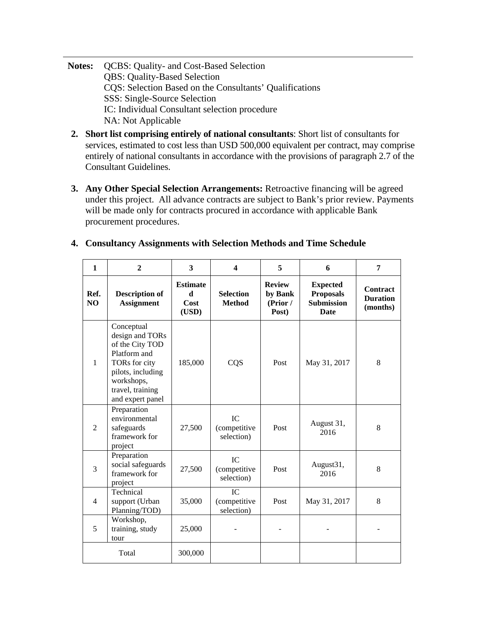- **Notes:** QCBS: Quality- and Cost-Based Selection QBS: Quality-Based Selection CQS: Selection Based on the Consultants' Qualifications SSS: Single-Source Selection IC: Individual Consultant selection procedure NA: Not Applicable
- **2. Short list comprising entirely of national consultants**: Short list of consultants for services, estimated to cost less than USD 500,000 equivalent per contract, may comprise entirely of national consultants in accordance with the provisions of paragraph 2.7 of the Consultant Guidelines.
- **3. Any Other Special Selection Arrangements:** Retroactive financing will be agreed under this project. All advance contracts are subject to Bank's prior review. Payments will be made only for contracts procured in accordance with applicable Bank procurement procedures.

| $\mathbf{1}$           | $\overline{2}$                                                                                                                                               | 3                                     | $\boldsymbol{4}$                  | 5                                             | 6                                                                       | 7                                              |
|------------------------|--------------------------------------------------------------------------------------------------------------------------------------------------------------|---------------------------------------|-----------------------------------|-----------------------------------------------|-------------------------------------------------------------------------|------------------------------------------------|
| Ref.<br>N <sub>O</sub> | <b>Description of</b><br><b>Assignment</b>                                                                                                                   | <b>Estimate</b><br>d<br>Cost<br>(USD) | <b>Selection</b><br><b>Method</b> | <b>Review</b><br>by Bank<br>(Prior /<br>Post) | <b>Expected</b><br><b>Proposals</b><br><b>Submission</b><br><b>Date</b> | <b>Contract</b><br><b>Duration</b><br>(months) |
| $\mathbf{1}$           | Conceptual<br>design and TORs<br>of the City TOD<br>Platform and<br>TORs for city<br>pilots, including<br>workshops,<br>travel, training<br>and expert panel | 185,000                               | CQS                               | Post                                          | May 31, 2017                                                            | 8                                              |
| $\overline{2}$         | Preparation<br>environmental<br>safeguards<br>framework for<br>project                                                                                       | 27,500                                | IC<br>(competitive<br>selection)  | Post                                          | August 31,<br>2016                                                      | 8                                              |
| 3                      | Preparation<br>social safeguards<br>framework for<br>project                                                                                                 | 27,500                                | IC<br>(competitive<br>selection)  | Post                                          | August31,<br>2016                                                       | 8                                              |
| $\overline{4}$         | Technical<br>support (Urban<br>Planning/TOD)                                                                                                                 | 35,000                                | IC<br>(competitive<br>selection)  | Post                                          | May 31, 2017                                                            | 8                                              |
| 5                      | Workshop,<br>training, study<br>tour                                                                                                                         | 25,000                                |                                   |                                               |                                                                         |                                                |
|                        | Total                                                                                                                                                        | 300,000                               |                                   |                                               |                                                                         |                                                |

## **4. Consultancy Assignments with Selection Methods and Time Schedule**